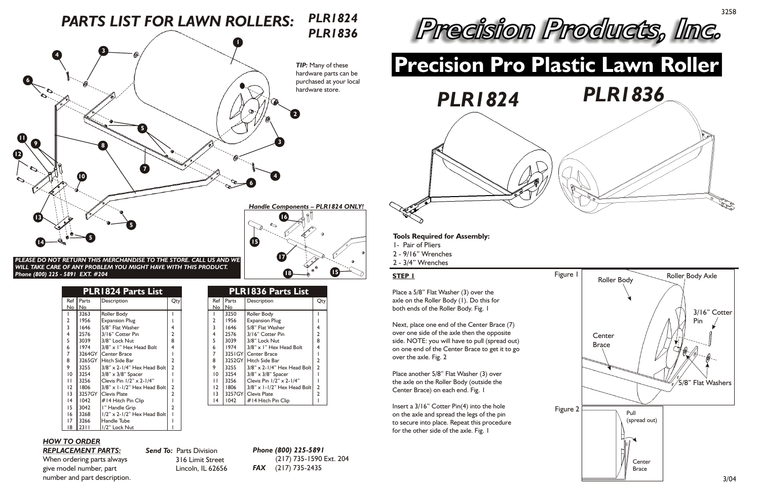#### **PLEASE DO NOT RETURN THIS MERCHANDISE TO THE STORE. CALL US AND WE** *WILL TAKE CARE OF ANY PROBLEM YOU MIGHT HAVE WITH THIS PRODUCT. Phone (800) 225 - 5891 EXT. #204*

# *HOW TO ORDER REPLACEMENT PARTS:*

When ordering parts always give model number, part number and part description. *Send To:* Parts Division 316 Limit Street Lincoln, IL 62656 purchased at your local

|                 |        | <b>PLR1824 Parts List</b>          |                |
|-----------------|--------|------------------------------------|----------------|
| Ref             | Parts  | Description                        | Qty            |
| No              | No     |                                    |                |
|                 | 3263   | Roller Body                        |                |
| 2               | 1956   | <b>Expansion Plug</b>              |                |
| 3               | 1646   | 5/8" Flat Washer                   | 4              |
| 4               | 2576   | 3/16" Cotter Pin                   | 2              |
| 5               | 3039   | 3/8" Lock Nut                      | 8              |
| 6               | 1974   | $3/8"$ x 1" Hex Head Bolt          | 4              |
| 7               | 3264GY | Center Brace                       |                |
| 8               | 3265GY | Hitch Side Bar                     | 2              |
| 9               | 3255   | $3/8"$ x 2-1/4" Hex Head Bolt      | $\overline{2}$ |
| $\overline{0}$  | 3254   | $3/8$ " x $3/8$ " Spacer           |                |
| П               | 3256   | Clevis Pin $1/2$ " x 2- $1/4$ "    |                |
| 12              | 1806   | $3/8"$ x 1-1/2" Hex Head Bolt      | 2              |
| $\overline{13}$ | 3257GY | <b>Clevis Plate</b>                | $\overline{2}$ |
| 14              | 1042   | #14 Hitch Pin Clip                 |                |
| 15              | 3042   | I" Handle Grip                     | $\overline{2}$ |
| 16              | 3268   | $1/2$ " x 2- $1/2$ " Hex Head Bolt |                |
| 17              | 3266   | Handle Tube                        |                |
| 18              | 2311   | 1/2" Lock Nut                      |                |

*Phone (800) 225-5891* (217) 735-1590 Ext. 204 *FAX* (217) 735-2435

*PLR1824*





**17**

**Description** 

**18 15**

Qty

> 2 1



2 3/8" x 1-1/2" Hex Head Bolt

 $3/8$ " x 2-1/4" Hex Head Bolt

Roller Body Expansion Plug 5/8" Flat Washer 3/16" Cotter Pin 3/8" Lock Nut

3/8" x 1" Hex Head Bolt

Center Brace Hitch Side Bar

3/8" x 3/8" Spacer Clevis Pin 1/2" x 2-1/4"

Clevis Plate #14 Hitch Pin Clip

**PLR1836 Parts List**

**Tools Required for Assembly:**

- 1- Pair of Pliers
- 2 9/16" Wrenches
- 2 3/4" Wrenches

### **STEP 1**

Place a 5/8" Flat Washer (3) over the axle on the Roller Body (1). Do this for both ends of the Roller Body. Fig. 1

Next, place one end of the Center Brace (7) over one side of the axle then the opposite side. NOTE: you will have to pull (spread out) on one end of the Center Brace to get it to go over the axle. Fig. 2



Place another 5/8" Flat Washer (3) over the axle on the Roller Body (outside the Center Brace) on each end. Fig. 1

Insert a 3/16" Cotter Pin(4) into the hole on the axle and spread the legs of the pin to secure into place. Repeat this procedure for the other side of the axle. Fig. 1